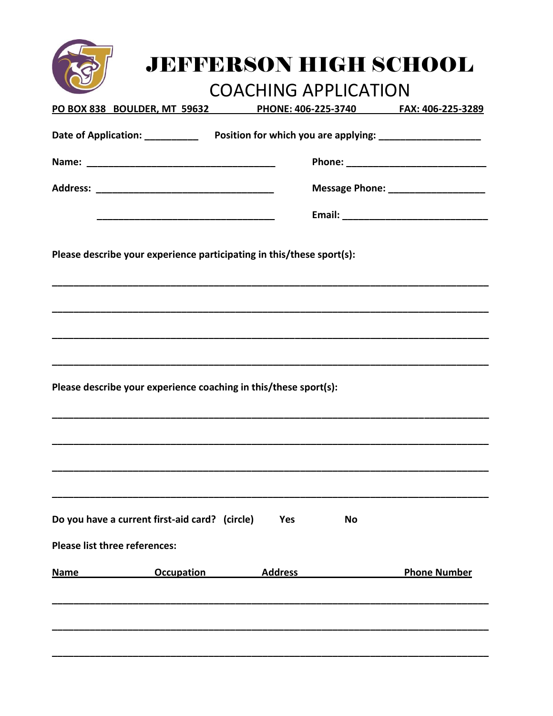|                                                                                                                                                            | Message Phone: _____________________ |    |  |
|------------------------------------------------------------------------------------------------------------------------------------------------------------|--------------------------------------|----|--|
|                                                                                                                                                            |                                      |    |  |
|                                                                                                                                                            |                                      |    |  |
|                                                                                                                                                            |                                      |    |  |
| Please describe your experience coaching in this/these sport(s):<br>Do you have a current first-aid card? (circle)<br><b>Please list three references:</b> | Yes                                  | No |  |